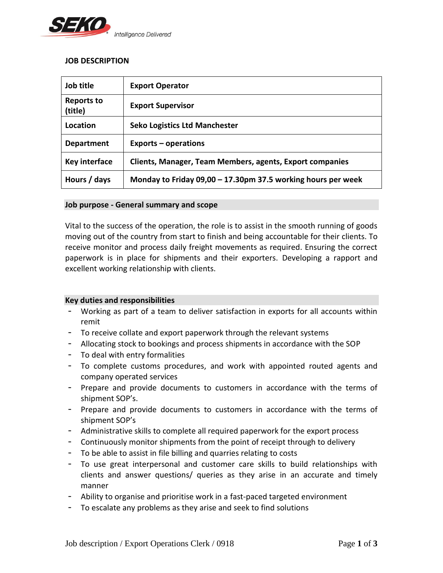

### **JOB DESCRIPTION**

| Job title                    | <b>Export Operator</b>                                          |
|------------------------------|-----------------------------------------------------------------|
| <b>Reports to</b><br>(title) | <b>Export Supervisor</b>                                        |
| Location                     | <b>Seko Logistics Ltd Manchester</b>                            |
| <b>Department</b>            | $Exports$ – operations                                          |
| <b>Key interface</b>         | <b>Clients, Manager, Team Members, agents, Export companies</b> |
| Hours / days                 | Monday to Friday 09,00 - 17.30pm 37.5 working hours per week    |

#### **Job purpose - General summary and scope**

Vital to the success of the operation, the role is to assist in the smooth running of goods moving out of the country from start to finish and being accountable for their clients. To receive monitor and process daily freight movements as required. Ensuring the correct paperwork is in place for shipments and their exporters. Developing a rapport and excellent working relationship with clients.

#### **Key duties and responsibilities**

- Working as part of a team to deliver satisfaction in exports for all accounts within remit
- To receive collate and export paperwork through the relevant systems
- Allocating stock to bookings and process shipments in accordance with the SOP
- To deal with entry formalities
- To complete customs procedures, and work with appointed routed agents and company operated services
- Prepare and provide documents to customers in accordance with the terms of shipment SOP's.
- Prepare and provide documents to customers in accordance with the terms of shipment SOP's
- Administrative skills to complete all required paperwork for the export process
- Continuously monitor shipments from the point of receipt through to delivery
- To be able to assist in file billing and quarries relating to costs
- To use great interpersonal and customer care skills to build relationships with clients and answer questions/ queries as they arise in an accurate and timely manner
- Ability to organise and prioritise work in a fast-paced targeted environment
- To escalate any problems as they arise and seek to find solutions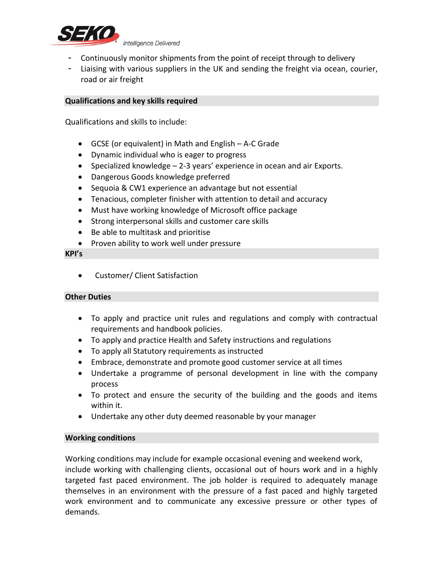

ntelligence Delivered

- Continuously monitor shipments from the point of receipt through to delivery
- Liaising with various suppliers in the UK and sending the freight via ocean, courier, road or air freight

# **Qualifications and key skills required**

Qualifications and skills to include:

- GCSE (or equivalent) in Math and English A-C Grade
- Dynamic individual who is eager to progress
- Specialized knowledge 2-3 years' experience in ocean and air Exports.
- Dangerous Goods knowledge preferred
- Sequoia & CW1 experience an advantage but not essential
- Tenacious, completer finisher with attention to detail and accuracy
- Must have working knowledge of Microsoft office package
- Strong interpersonal skills and customer care skills
- Be able to multitask and prioritise
- Proven ability to work well under pressure

# **KPI's**

• Customer/ Client Satisfaction

# **Other Duties**

- To apply and practice unit rules and regulations and comply with contractual requirements and handbook policies.
- To apply and practice Health and Safety instructions and regulations
- To apply all Statutory requirements as instructed
- Embrace, demonstrate and promote good customer service at all times
- Undertake a programme of personal development in line with the company process
- To protect and ensure the security of the building and the goods and items within it.
- Undertake any other duty deemed reasonable by your manager

# **Working conditions**

Working conditions may include for example occasional evening and weekend work, include working with challenging clients, occasional out of hours work and in a highly targeted fast paced environment. The job holder is required to adequately manage themselves in an environment with the pressure of a fast paced and highly targeted work environment and to communicate any excessive pressure or other types of demands.